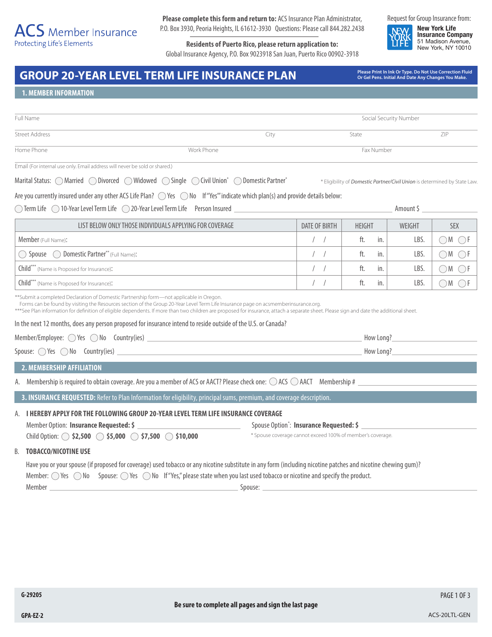**Please complete this form and return to:** ACS Insurance Plan Administrator, P.O. Box 3930, Peoria Heights, IL 61612-3930 Questions: Please call 844.282.2438

**Residents of Puerto Rico, please return application to:** Global Insurance Agency, P.O. Box 9023918 San Juan, Puerto Rico 00902-3918 Request for Group Insurance from:

**New York Life Insurance Company** 51 Madison Avenue, New York, NY 10010

# GROUP 20-YEAR LEVEL TERM LIFE INSURANCE PLAN<br>Or Gel Pens. Initial And Date Any Changes You Make.

**Or Gel Pens. Initial And Date Any Changes You Make.**

\* Eligibility of *Domestic Partner/Civil Union* is determined by State Law.

## **1. MEMBER INFORMATION**

| Full Name             |            |            | Social Security Number |     |  |
|-----------------------|------------|------------|------------------------|-----|--|
| <b>Street Address</b> |            | City       | State                  | ZIP |  |
| Home Phone            | Work Phone | Fax Number |                        |     |  |

Marital Status: MarriedDivorcedWidowedSingleCivil Union\* Domestic Partner\*

Are you currently insured under any other ACS Life Plan?  $\bigcirc$  Yes  $\bigcirc$  No If "Yes" indicate which plan(s) and provide details below:

◯ Term Life ◯ 10-Year Level Term Life ◯ 20-Year Level Term Life Merson Insured <u>weblest and an amount \$ Amount \$ Amount \$ \_</u>

| LIST BELOW ONLY THOSE INDIVIDUALS APPLYING FOR COVERAGE | DATE OF BIRTH | <b>HEIGHT</b> | WEIGHT | <b>SEX</b> |
|---------------------------------------------------------|---------------|---------------|--------|------------|
| Member (Full Name):                                     |               | ft.<br>in.    | LBS    |            |
| Spouse  O Domestic Partner** (Full Name):               |               | ft.<br>in.    | LBS    |            |
| (Child*** (Name is Proposed for Insurance):             |               | ft.<br>in.    | LBS.   |            |
| Child*** (Name is Proposed for Insurance):              |               | ft.<br>in.    | LBS.   |            |

\*\*Submit a completed Declaration of Domestic Partnership form—not applicable in Oregon.

Forms can be found by visiting the Resources section of the Group 20-Year Level Term Life Insurance page on acsmemberinsurance.org.

\*\*\*See Plan information for definition of eligible dependents. If more than two children are proposed for insurance, attach a separate sheet. Please sign and date the additional sheet.

In the next 12 months, does any person proposed for insurance intend to reside outside of the U.S. or Canada?

Member/Employee:  $\bigcirc$  Yes  $\bigcirc$  No Country(ies) How Long? Spouse:  $\bigcirc$  Yes  $\bigcirc$  No Country(ies) **How Long?** How Long?

#### **2. MEMBERSHIP AFFILIATION**

A. Membership is required to obtain coverage. Are you a member of ACS or AACT? Please check one:  $\bigcirc$  ACS  $\bigcirc$  AACT Membership #

**3. INSURANCE REQUESTED:** Refer to Plan Information for eligibility, principal sums, premium, and coverage description.

# A. **I HEREBY APPLY FOR THE FOLLOWING GROUP 20-YEAR LEVEL TERM LIFE INSURANCE COVERAGE**

Member Option: Insurance Requested: \$ Child Option: **6 \$2,500 \$5,000 \$7,500 \$10,000** 

: **Insurance Requested: \$** 

\* Spouse coverage cannot exceed 100% of member's coverage.

#### B. **TOBACCO/NICOTINE USE**

Have you or your spouse (if proposed for coverage) used tobacco or any nicotine substitute in any form (including nicotine patches and nicotine chewing gum)? Member:  $\bigcirc$  Yes  $\bigcirc$  No Spouse:  $\bigcirc$  Yes  $\bigcirc$  No If "Yes," please state when you last used tobacco or nicotine and specify the product. Member Spouse:

PAGE 1 OF 3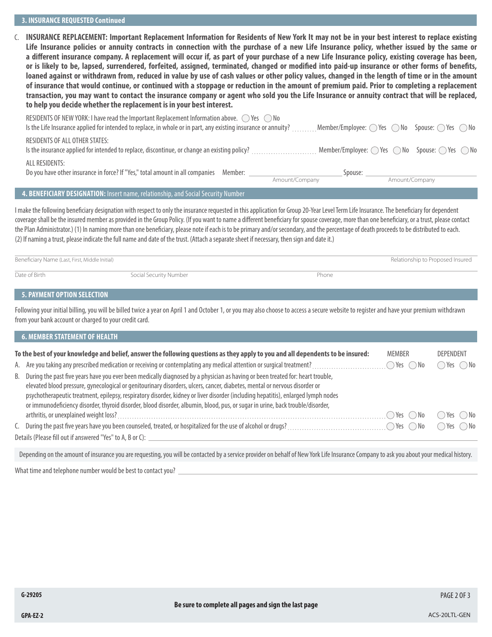C. **INSURANCE REPLACEMENT: Important Replacement Information for Residents of New York It may not be in your best interest to replace existing Life Insurance policies or annuity contracts in connection with the purchase of a new Life Insurance policy, whether issued by the same or a different insurance company. A replacement will occur if, as part of your purchase of a new Life Insurance policy, existing coverage has been, or is likely to be, lapsed, surrendered, forfeited, assigned, terminated, changed or modified into paid-up insurance or other forms of benefits, loaned against or withdrawn from, reduced in value by use of cash values or other policy values, changed in the length of time or in the amount of insurance that would continue, or continued with a stoppage or reduction in the amount of premium paid. Prior to completing a replacement transaction, you may want to contact the insurance company or agent who sold you the Life Insurance or annuity contract that will be replaced, to help you decide whether the replacement is in your best interest.**

| $\overline{a}$ in the second contract of the second contract of the second contract of the second contract of the second contract of the second contract of the second contract of the second contract of the second contract of th |                |                                                                                           |                |  |
|-------------------------------------------------------------------------------------------------------------------------------------------------------------------------------------------------------------------------------------|----------------|-------------------------------------------------------------------------------------------|----------------|--|
|                                                                                                                                                                                                                                     | Amount/Company |                                                                                           | Amount/Company |  |
| ALL RESIDENTS:<br>Do you have other insurance in force? If "Yes," total amount in all companies Member:                                                                                                                             |                | Spouse:                                                                                   |                |  |
| RESIDENTS OF ALL OTHER STATES:                                                                                                                                                                                                      |                | $\Box$ Member/Employee: $\bigcirc$ Yes $\bigcirc$ No Spouse: $\bigcirc$ Yes $\bigcirc$ No |                |  |
| RESIDENTS OF NEW YORK: I have read the Important Replacement Information above. $\bigcirc$ Yes $\bigcirc$ No<br>Is the Life Insurance applied for intended to replace, in whole or in part, any existing insurance or annuity?      |                | Member/Employee: $\bigcirc$ Yes $\bigcirc$ No Spouse: $\bigcirc$ Yes $\bigcirc$ No        |                |  |

#### **4. BENEFICIARY DESIGNATION:** Insert name, relationship, and Social Security Number

I make the following beneficiary designation with respect to only the insurance requested in this application for Group 20-Year Level Term Life Insurance. The beneficiary for dependent coverage shall be the insured member as provided in the Group Policy. (If you want to name a different beneficiary for spouse coverage, more than one beneficiary, or a trust, please contact the Plan Administrator.) (1) In naming more than one beneficiary, please note if each is to be primary and/or secondary, and the percentage of death proceeds to be distributed to each. (2) If naming a trust, please indicate the full name and date of the trust. (Attach a separate sheet if necessary, then sign and date it.)

| Beneficiary Name (Last, First, Middle Initial) |                        | Relationship to Proposed Insured |  |  |
|------------------------------------------------|------------------------|----------------------------------|--|--|
| Date of Birth                                  | Social Security Number | Phone                            |  |  |

# **5. PAYMENT OPTION SELECTION**

Following your initial billing, you will be billed twice a year on April 1 and October 1, or you may also choose to access a secure website to register and have your premium withdrawn from your bank account or charged to your credit card.

| <b>6. MEMBER STATEMENT OF HEALTH</b>                                                                                                                                                                                                                                                                                                                                                                                                                                                                                                   |                              |                              |
|----------------------------------------------------------------------------------------------------------------------------------------------------------------------------------------------------------------------------------------------------------------------------------------------------------------------------------------------------------------------------------------------------------------------------------------------------------------------------------------------------------------------------------------|------------------------------|------------------------------|
| To the best of your knowledge and belief, answer the following questions as they apply to you and all dependents to be insured:                                                                                                                                                                                                                                                                                                                                                                                                        | <b>MEMBER</b>                | <b>DEPENDENT</b>             |
|                                                                                                                                                                                                                                                                                                                                                                                                                                                                                                                                        | $\bigcirc$ Yes $\bigcirc$ No | $\bigcirc$ Yes $\bigcirc$ No |
| B. During the past five years have you ever been medically diagnosed by a physician as having or been treated for: heart trouble,<br>elevated blood pressure, gynecological or genitourinary disorders, ulcers, cancer, diabetes, mental or nervous disorder or<br>psychotherapeutic treatment, epilepsy, respiratory disorder, kidney or liver disorder (including hepatitis), enlarged lymph nodes<br>or immunodeficiency disorder, thyroid disorder, blood disorder, albumin, blood, pus, or sugar in urine, back trouble/disorder, |                              |                              |
|                                                                                                                                                                                                                                                                                                                                                                                                                                                                                                                                        | ○Yes ○No                     | ∩Yes ( )No                   |
| C. During the past five years have you been counseled, treated, or hospitalized for the use of alcohol or drugs?                                                                                                                                                                                                                                                                                                                                                                                                                       | ◯ Yes ◯ No                   | $\bigcirc$ Yes $\bigcirc$ No |
| Details (Please fill out if answered "Yes" to A, B or C): _                                                                                                                                                                                                                                                                                                                                                                                                                                                                            |                              |                              |
|                                                                                                                                                                                                                                                                                                                                                                                                                                                                                                                                        |                              |                              |

Depending on the amount of insurance you are requesting, you will be contacted by a service provider on behalf of New York Life Insurance Company to ask you about your medical history.

What time and telephone number would be best to contact you?